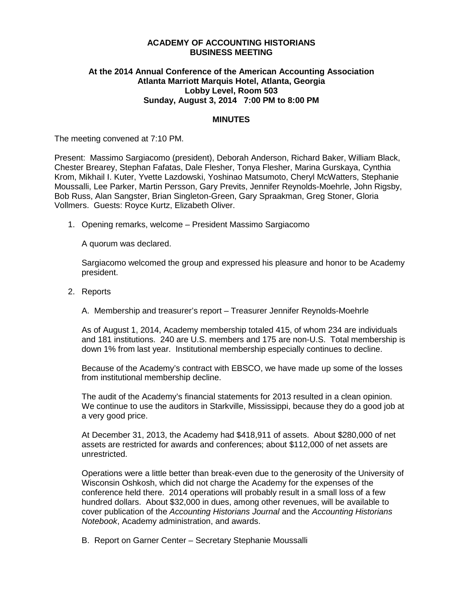#### **ACADEMY OF ACCOUNTING HISTORIANS BUSINESS MEETING**

# **At the 2014 Annual Conference of the American Accounting Association Atlanta Marriott Marquis Hotel, Atlanta, Georgia Lobby Level, Room 503 Sunday, August 3, 2014 7:00 PM to 8:00 PM**

#### **MINUTES**

The meeting convened at 7:10 PM.

Present: Massimo Sargiacomo (president), Deborah Anderson, Richard Baker, William Black, Chester Brearey, Stephan Fafatas, Dale Flesher, Tonya Flesher, Marina Gurskaya, Cynthia Krom, Mikhail I. Kuter, Yvette Lazdowski, Yoshinao Matsumoto, Cheryl McWatters, Stephanie Moussalli, Lee Parker, Martin Persson, Gary Previts, Jennifer Reynolds-Moehrle, John Rigsby, Bob Russ, Alan Sangster, Brian Singleton-Green, Gary Spraakman, Greg Stoner, Gloria Vollmers. Guests: Royce Kurtz, Elizabeth Oliver.

1. Opening remarks, welcome – President Massimo Sargiacomo

A quorum was declared.

Sargiacomo welcomed the group and expressed his pleasure and honor to be Academy president.

- 2. Reports
	- A. Membership and treasurer's report Treasurer Jennifer Reynolds-Moehrle

As of August 1, 2014, Academy membership totaled 415, of whom 234 are individuals and 181 institutions. 240 are U.S. members and 175 are non-U.S. Total membership is down 1% from last year. Institutional membership especially continues to decline.

Because of the Academy's contract with EBSCO, we have made up some of the losses from institutional membership decline.

The audit of the Academy's financial statements for 2013 resulted in a clean opinion. We continue to use the auditors in Starkville, Mississippi, because they do a good job at a very good price.

At December 31, 2013, the Academy had \$418,911 of assets. About \$280,000 of net assets are restricted for awards and conferences; about \$112,000 of net assets are unrestricted.

Operations were a little better than break-even due to the generosity of the University of Wisconsin Oshkosh, which did not charge the Academy for the expenses of the conference held there. 2014 operations will probably result in a small loss of a few hundred dollars. About \$32,000 in dues, among other revenues, will be available to cover publication of the *Accounting Historians Journal* and the *Accounting Historians Notebook*, Academy administration, and awards.

B. Report on Garner Center – Secretary Stephanie Moussalli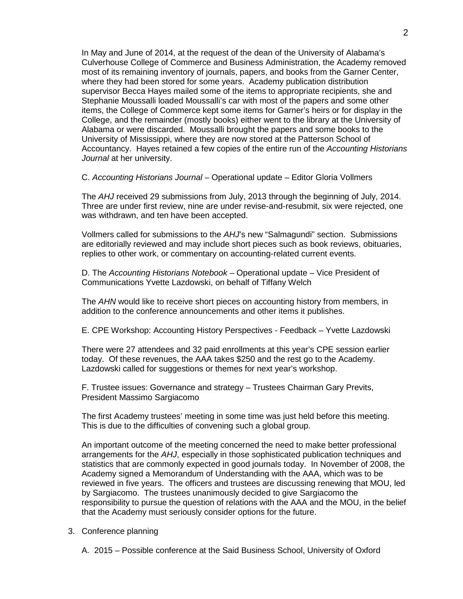In May and June of 2014, at the request of the dean of the University of Alabama's Culverhouse College of Commerce and Business Administration, the Academy removed most of its remaining inventory of journals, papers, and books from the Garner Center, where they had been stored for some years. Academy publication distribution supervisor Becca Hayes mailed some of the items to appropriate recipients, she and Stephanie Moussalli loaded Moussalli's car with most of the papers and some other items, the College of Commerce kept some items for Garner's heirs or for display in the College, and the remainder (mostly books) either went to the library at the University of Alabama or were discarded. Moussalli brought the papers and some books to the University of Mississippi, where they are now stored at the Patterson School of Accountancy. Hayes retained a few copies of the entire run of the *Accounting Historians Journal* at her university.

C. *Accounting Historians Journal* – Operational update – Editor Gloria Vollmers

The *AHJ* received 29 submissions from July, 2013 through the beginning of July, 2014. Three are under first review, nine are under revise-and-resubmit, six were rejected, one was withdrawn, and ten have been accepted.

Vollmers called for submissions to the *AHJ*'s new "Salmagundi" section. Submissions are editorially reviewed and may include short pieces such as book reviews, obituaries, replies to other work, or commentary on accounting-related current events.

D. The *Accounting Historians Notebook* – Operational update – Vice President of Communications Yvette Lazdowski, on behalf of Tiffany Welch

The *AHN* would like to receive short pieces on accounting history from members, in addition to the conference announcements and other items it publishes.

E. CPE Workshop: Accounting History Perspectives - Feedback – Yvette Lazdowski

There were 27 attendees and 32 paid enrollments at this year's CPE session earlier today. Of these revenues, the AAA takes \$250 and the rest go to the Academy. Lazdowski called for suggestions or themes for next year's workshop.

F. Trustee issues: Governance and strategy – Trustees Chairman Gary Previts, President Massimo Sargiacomo

The first Academy trustees' meeting in some time was just held before this meeting. This is due to the difficulties of convening such a global group.

An important outcome of the meeting concerned the need to make better professional arrangements for the *AHJ*, especially in those sophisticated publication techniques and statistics that are commonly expected in good journals today. In November of 2008, the Academy signed a Memorandum of Understanding with the AAA, which was to be reviewed in five years. The officers and trustees are discussing renewing that MOU, led by Sargiacomo. The trustees unanimously decided to give Sargiacomo the responsibility to pursue the question of relations with the AAA and the MOU, in the belief that the Academy must seriously consider options for the future.

# 3. Conference planning

A. 2015 – Possible conference at the Said Business School, University of Oxford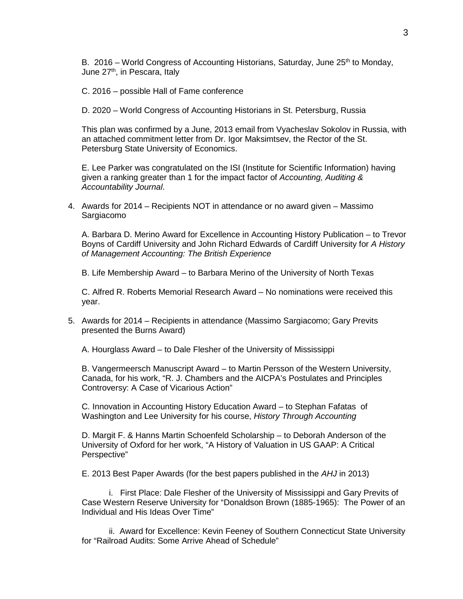B. 2016 – World Congress of Accounting Historians, Saturday, June  $25<sup>th</sup>$  to Monday, June 27<sup>th</sup>, in Pescara, Italy

C. 2016 – possible Hall of Fame conference

D. 2020 – World Congress of Accounting Historians in St. Petersburg, Russia

This plan was confirmed by a June, 2013 email from Vyacheslav Sokolov in Russia, with an attached commitment letter from Dr. Igor Maksimtsev, the Rector of the St. Petersburg State University of Economics.

E. Lee Parker was congratulated on the ISI (Institute for Scientific Information) having given a ranking greater than 1 for the impact factor of *Accounting, Auditing & Accountability Journal*.

4. Awards for 2014 – Recipients NOT in attendance or no award given – Massimo Sargiacomo

A. Barbara D. Merino Award for Excellence in Accounting History Publication – to Trevor Boyns of Cardiff University and John Richard Edwards of Cardiff University for *A History of Management Accounting: The British Experience*

B. Life Membership Award – to Barbara Merino of the University of North Texas

C. Alfred R. Roberts Memorial Research Award – No nominations were received this year.

5. Awards for 2014 – Recipients in attendance (Massimo Sargiacomo; Gary Previts presented the Burns Award)

A. Hourglass Award – to Dale Flesher of the University of Mississippi

B. Vangermeersch Manuscript Award – to Martin Persson of the Western University, Canada, for his work, "R. J. Chambers and the AICPA's Postulates and Principles Controversy: A Case of Vicarious Action"

C. Innovation in Accounting History Education Award – to Stephan Fafatas of Washington and Lee University for his course, *History Through Accounting*

D. Margit F. & Hanns Martin Schoenfeld Scholarship – to Deborah Anderson of the University of Oxford for her work, "A History of Valuation in US GAAP: A Critical Perspective"

E. 2013 Best Paper Awards (for the best papers published in the *AHJ* in 2013)

i. First Place: Dale Flesher of the University of Mississippi and Gary Previts of Case Western Reserve University for "Donaldson Brown (1885-1965): The Power of an Individual and His Ideas Over Time"

ii. Award for Excellence: Kevin Feeney of Southern Connecticut State University for "Railroad Audits: Some Arrive Ahead of Schedule"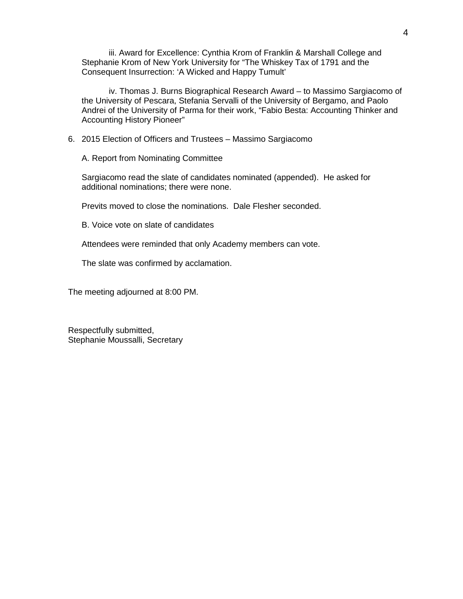iii. Award for Excellence: Cynthia Krom of Franklin & Marshall College and Stephanie Krom of New York University for "The Whiskey Tax of 1791 and the Consequent Insurrection: 'A Wicked and Happy Tumult'

iv. Thomas J. Burns Biographical Research Award – to Massimo Sargiacomo of the University of Pescara, Stefania Servalli of the University of Bergamo, and Paolo Andrei of the University of Parma for their work, "Fabio Besta: Accounting Thinker and Accounting History Pioneer"

6. 2015 Election of Officers and Trustees – Massimo Sargiacomo

A. Report from Nominating Committee

Sargiacomo read the slate of candidates nominated (appended). He asked for additional nominations; there were none.

Previts moved to close the nominations. Dale Flesher seconded.

B. Voice vote on slate of candidates

Attendees were reminded that only Academy members can vote.

The slate was confirmed by acclamation.

The meeting adjourned at 8:00 PM.

Respectfully submitted, Stephanie Moussalli, Secretary